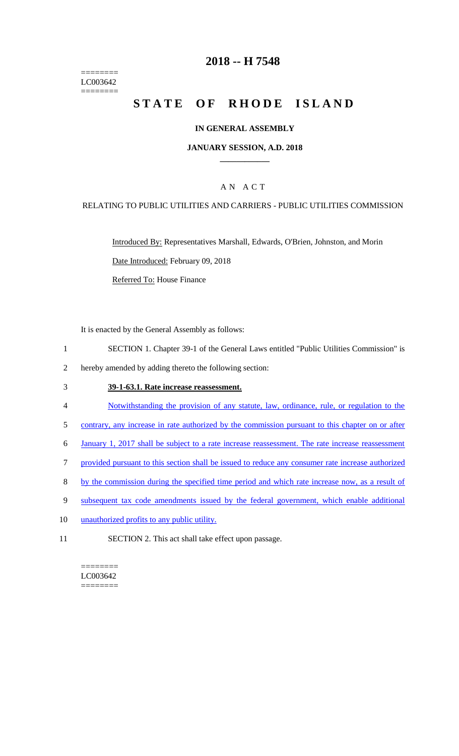======== LC003642 ========

### **2018 -- H 7548**

# **STATE OF RHODE ISLAND**

#### **IN GENERAL ASSEMBLY**

#### **JANUARY SESSION, A.D. 2018 \_\_\_\_\_\_\_\_\_\_\_\_**

### A N A C T

#### RELATING TO PUBLIC UTILITIES AND CARRIERS - PUBLIC UTILITIES COMMISSION

Introduced By: Representatives Marshall, Edwards, O'Brien, Johnston, and Morin Date Introduced: February 09, 2018

Referred To: House Finance

It is enacted by the General Assembly as follows:

- 1 SECTION 1. Chapter 39-1 of the General Laws entitled "Public Utilities Commission" is
- 2 hereby amended by adding thereto the following section:

#### 3 **39-1-63.1. Rate increase reassessment.**

- 4 Notwithstanding the provision of any statute, law, ordinance, rule, or regulation to the
- 5 contrary, any increase in rate authorized by the commission pursuant to this chapter on or after
- 6 January 1, 2017 shall be subject to a rate increase reassessment. The rate increase reassessment
- 7 provided pursuant to this section shall be issued to reduce any consumer rate increase authorized
- 8 by the commission during the specified time period and which rate increase now, as a result of
- 9 subsequent tax code amendments issued by the federal government, which enable additional
- 10 unauthorized profits to any public utility.
- 11 SECTION 2. This act shall take effect upon passage.

======== LC003642  $=$